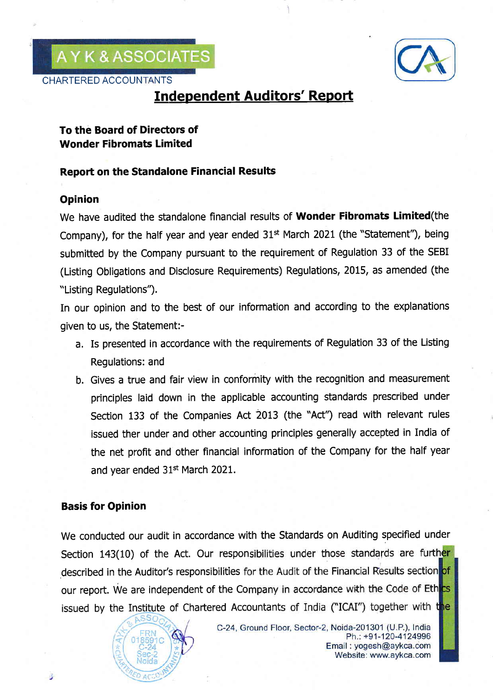AYK&ASSOCIATES

CHARTERED ACCOUNTANTS



# **Independent Auditors' Report**

# To the Board of Directors of Wonder Fibromats Limited

### Report on the Standalone Financia! Results

## Opinion

We have audited the standalone financial results of Wonder Fibromats Limited (the Company), for the half year and year ended  $31<sup>st</sup>$  March 2021 (the "Statement"), being submitted by the Company pursuant to the requirement of Regulation 33 of the SEBI (Listing Obligations and Disclosure Requirements) Regulations, 2015, as amended (the "Listing Regulations").

In our opinion and to the best of our information and according to the explanations given to us, the Statement:-

- a. Is presented in accordance with the requirements of Regulation 33 of the Listing Regulations: and
- b. Gives a true and fair view in conformity with the recognition and measurement principles laid down in the applicable accounting standards prescribed under Section 133 of the Companies Act 2013 (the "Act") read with relevant rules issued ther under and other accounting principles generally accepted in India of the net profit and other financial information of the Company for the half year and year ended 31<sup>st</sup> March 2021.

## Basis for Opinion

We conducted our audit in accordance with the Standards on Auditing specified under Section 143(10) of the Act. Our responsibilities under those standards are further Section 143(10) of the Act. Our resp<br>described in the Auditor's responsibilities our report. We are independent of the Company in accordance with the Code of Ethics issued by the Institute of Chartered Accountants of India ("ICAI") together with the

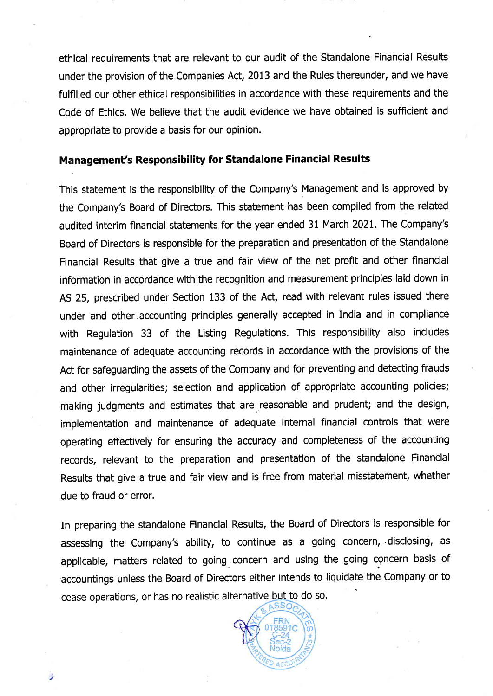ethical requirements that are relevant to our audit of the Standalone Financial Results under the provision of the Companies Act, 2013 and the Rules thereunder, and we have fulfilled our other ethical responsibilities in accordance with these requirements and the Code of Ethics. We believe that the audit evidence we have obtained is sufficient and appropriate to provide a basis for our opinion.

### Management's Responsibility for Standalone Financial Results

This statement is the responsibility of the Company's Management and is approved by the Company's Board of Directors. This statement has been compiled from the related audited interim financial statements for the year ended 31 March 202t. The Company's Board of Directors is responsible for the preparation and presentation of the Standalone Financial Results that give a true and fair view of the net profit and other financial information in accordance with the recognition and measurement principles laid down in AS 25, prescribed under Section 133 of the Act, read with relevant rules issued there under and other accounting principles generally accepted in India and in compliance with Regulation 33 of the Listing Regulations. This responsibility also includes maintenance of adequate accounting records in accordance with the provisions of the Act for safeguarding the assets of the Company and for preventing and detecting frauds and other irregularities; selection and application of appropriate accounting policies; making judgments and estimates that are reasonable and prudent; and the design, implementation and maintenance of adequate internal financial controls that were operating effectively for ensuring the accuracy and completeness of the accounting records, relevant to the preparation and presentation of the standalone Financial Results that give a true and fair view and is free from material misstatement, whether due to fraud or error.

In preparing the standalone Financial Results, the Board of Directors is responsible for assessing the Company's ability, to continue as a going concern, disclosing, as applicable, matters related to going concern and using the going concern basis of .accountings gnless the Board of Directors either intends to liquidate the Company or to cease operations, or has no realistic alternative but to do so.



浝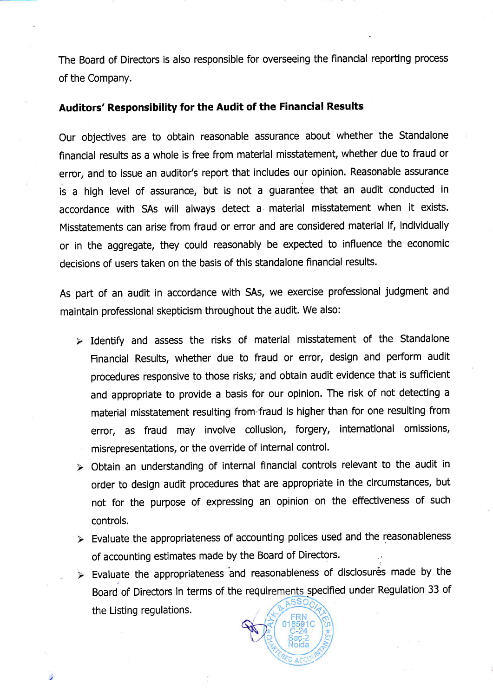The Board of Directors is also responsible for overseeing the financial reporting process of the Company.

#### Auditors' Responsibility for the Audit of the Financial Results

Our objectives are to obtain reasonable assurance about whether the Standalone financial results as a whole is free from material misstatement, whether due to fraud or error, and to issue an auditor's report that includes our opinion. Reasonable assurance is a high level of assurance, but is not a guarantee that an audit conducted in accordance with SAs will always detect a material misstatement when it exists. Misstatements can arise from fraud or error and are considered material if, individually or in the aggregate, they could reasonably be expected to influence the economic decisions of users taken on the basis of this standalone financial results.

As part of an audit in accordance with SAs, we exercise professional judgment and maintain professional skepticism throughout the audit. We also:

- $\triangleright$  Identify and assess the risks of material misstatement of the Standalone Financial Results, whether due to fraud or error, design and perform audit procedures responsive to those risks; and obtain audit evidence that is sufficient and appropriate to provide a basis for our opinion. The risk of not detecting <sup>a</sup> material misstatement resulting from'fraud is higher than for one resulting from error, as fraud may involve collusion, forgery, international omissions, misrepresentations, or the override of internal control.
- Obtain an understanding of internal financial controls relevant to the audit in order to design audit procedures that are appropriate in the circumstances, but not for the purpose of expressing an opinion on the effectiveness of such controls.
- Evaluate the appropriateness of accounting polices used and the reasonableness of accounting estimates made by the Board of Directors.
- $\triangleright$  Evaluate the appropriateness and reasonableness of disclosures made by the Board of Directors in terms of the requirements specified under Regulation 33 of the Listing regulations.

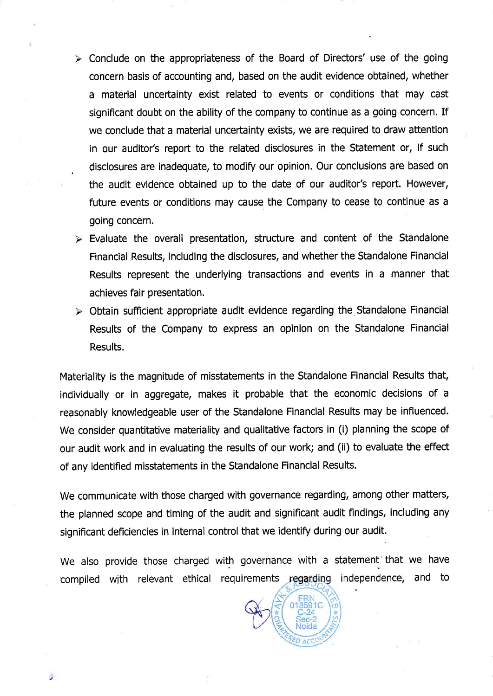- $\triangleright$  Conclude on the appropriateness of the Board of Directors' use of the going concern basis of accounting and, based on the audit evidence obtained, whether a material unceftainty exist related to events or conditions that may cast significant doubt on the ability of the company to continue as a going concern. If we conclude that a material uncertainty exists, we are required to draw attention in our auditor's report to the related disclosures in the Statement or, if such disclosures are inadequate, to modify our opinion. Our conclusions are based on the audit evidence obtained up to the date of our auditor's report. However, future events or conditions may cause the Company to cease to continue as <sup>a</sup> going concern.
- $\triangleright$  Evaluate the overall presentation, structure and content of the Standalone Financial Results, including the disclosures, and whether the Standalone Financial Results represent the underlying transactions and events in a manner that achieves fair presentation.
- Obtain sufficient appropriate audit evidence regarding the Standalone Financial Results of the Company to express an opinion on the Standalone Financial Results.

Materiality is the magnitude of misstatements in the Standalone Financial Results that, individually or in aggregate, makes it probable that the economic decisions of <sup>a</sup> reasonably knowledgeable user of the Standalone Financial Results may be influenced. We consider quantitative materiality and qualitative factors in (i) planning the scope of our audit work and in evaluating the results of our work; and (ii) to evaluate the effect of any identified misstatements in the Standalone Financial Results.

We communicate with those charged with governance regarding, among other matters, the planned scope and timing of the audit and significant audit findings, including any significant deficiencies in internal control that we identify during our audit.

We also provide those charged with governance with a statement, that we have compiled with relevant ethical requirements regarding independence, and to

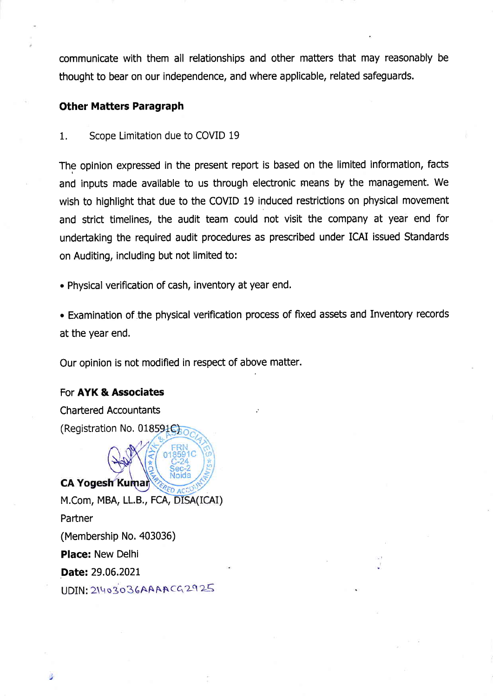communicate with them all relationships and other matters that may reasonably be thought to bear on our independence, and where applicable, related safeguards.

### Other Matters Paragraph

1. Scope Limitation due to COVID <sup>19</sup>

The opinion expressed in the present report is based on the limited information, facts and inputs made available to us through electronic means by the management. We wish to highlight that due to the COVID 19 induced restrictions on physical movement and strict timelines, the audit team could not visit the company at year end for undertaking the required audit procedures as prescribed under ICAI issued Standards on Auditing, including but not limited to:

. Physical verification of cash, inventory at year end,

. Examination of the physical verification process of fixed assets and Inventory records at the year end.

Our opinion is not modified in respect of above matter.

### For AYK & Associates

**Chartered Accountants** (Registration No.  $018591C$ ) **CA Yogesh Kumar** M.Com, MBA, LL.B., FCA,Partner (Membership No. 403036) Place: New Delhi Date: 29.06.2021 UDIN: 21403036AAAACG2925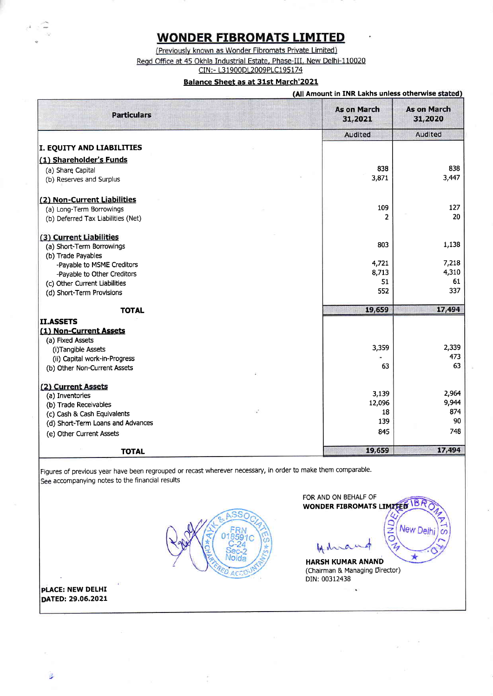# **WONDER FIBROMATS LIMITED**

(Previously known as Wonder Fibromats Private Limited) Regd Office at 45 Okhla Industrial Estate, Phase-III, New Delhi-110020<br>CIN:- L31900DL2009PLC195174

#### Balance Sheet as at 31st March'2021

#### (All Amount in INR Lakhs unless otherwise stated)

| <b>Particulars</b>                 | <b>As on March</b><br>31,2021 | <b>As on March</b><br>31,2020 |
|------------------------------------|-------------------------------|-------------------------------|
|                                    | Audited                       | Audited                       |
| <b>I. EQUITY AND LIABILITIES</b>   |                               |                               |
| (1) Shareholder's Funds            |                               |                               |
| (a) Share Capital                  | 838                           | 838                           |
| (b) Reserves and Surplus           | 3,871                         | 3,447                         |
| (2) Non-Current Liabilities        |                               |                               |
| (a) Long-Term Borrowings           | 109                           | 127                           |
| (b) Deferred Tax Liabilities (Net) | 2                             | 20                            |
| (3) Current Liabilities            |                               |                               |
| (a) Short-Term Borrowings          | 803                           | 1,138                         |
| (b) Trade Payables                 |                               |                               |
| -Payable to MSME Creditors         | 4,721                         | 7,218<br>4,310                |
| -Payable to Other Creditors        | 8,713<br>51                   | 61                            |
| (c) Other Current Liabilities      | 552                           | 337                           |
| (d) Short-Term Provisions          |                               |                               |
| <b>TOTAL</b>                       | 19,659                        | 17,494                        |
| II.ASSETS                          |                               |                               |
| (1) Non-Current Assets             |                               |                               |
| (a) Fixed Assets                   |                               |                               |
| (i)Tangible Assets                 | 3,359                         | 2,339<br>473                  |
| (ii) Capital work-in-Progress      | 63                            | 63                            |
| (b) Other Non-Current Assets       |                               |                               |
| (2) Current Assets                 |                               |                               |
| (a) Inventories                    | 3,139                         | 2,964                         |
| (b) Trade Receivables              | 12,096                        | 9,944                         |
| (c) Cash & Cash Equivalents        | 18                            | 874<br>90                     |
| (d) Short-Term Loans and Advances  | 139                           |                               |
| (e) Other Current Assets           | 845                           | 748                           |
| <b>TOTAL</b>                       | 19,659                        | 17,494                        |

Figures of previous year have been regrouped or recast wherever necessary, in order to make them comparable. See accompanying notes to the financial results



FOR AND ON BEHALF OF WONDER FIBROMATS LIMITED

IB.

**New Del** 

Q **QND** 

 $\mathcal{I}_j$ 

14 da  $\sigma$ 

HARSH KUMAR ANAND (Chairman & Managing Director) DIN: 00312438

PLACE: NEW DELHI DATED: 29.06.2021

B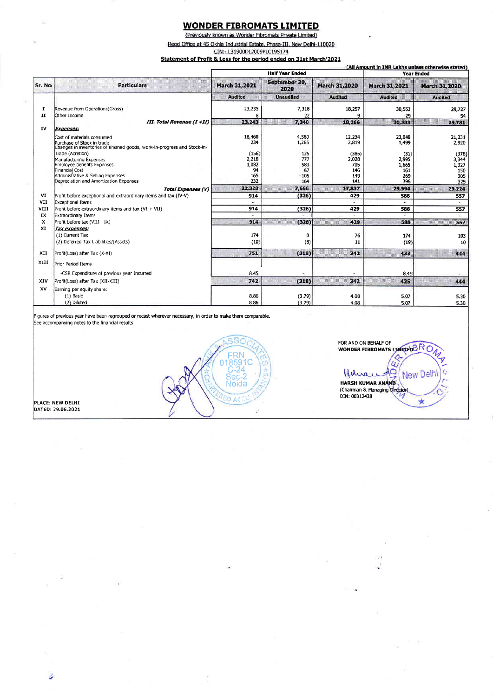### **WONDER FIBROMATS LIMITED**

(Previously known as Wonder Fibromats Private Limited) Regd Office at 45 Okhla Industrial Estate, Phase-III, New Delhi-110020 CIN:- L31900DL2009PLC195174

Statement of Profit & Loss for the period ended on 31st March'2021

|         |                                                                          | <b>Half Year Ended</b> |                       |                      | (All Amount in INR Lakhs unless otherwise stated)<br><b>Year Ended</b> |                             |
|---------|--------------------------------------------------------------------------|------------------------|-----------------------|----------------------|------------------------------------------------------------------------|-----------------------------|
| Sr. No. | <b>Particulars</b>                                                       | March 31,2021          | September 30,<br>2020 | <b>March 31,2020</b> | <b>March 31,2021</b>                                                   | March 31,2020               |
|         |                                                                          | <b>Audited</b>         | <b>Unaudited</b>      | <b>Audited</b>       | <b>Audited</b>                                                         | <b>Audited</b>              |
| 1       | Revenue from Operations (Gross)                                          | 23,235                 | 7,318                 | 18,257               | 30,553                                                                 | 29,727                      |
| II      | Other Income                                                             |                        | 22                    |                      | 29                                                                     | 54                          |
|         | III. Total Revenue (I +II)                                               | 23,243                 | 7,340                 | 18,266               | 30,583                                                                 | 29,781                      |
| IV      | <b>Expenses:</b>                                                         |                        |                       |                      |                                                                        |                             |
|         |                                                                          | 18,460                 | 4,580                 | 12,234               | 23,040                                                                 |                             |
|         | Cost of materials consumed<br>Purchase of Stock in trade                 | 234                    | 1,265                 | 2,819                | 1.499                                                                  | 21,231<br>2,920             |
|         | Changes in inventories of finished goods, work-in-progress and Stock-in- |                        |                       |                      |                                                                        |                             |
|         | Trade (Acretion)                                                         | (156)                  | 125                   | (385)                | (31)                                                                   | (378)                       |
|         | Manufacturino Expenses                                                   | 2,218                  | 777                   | 2,028                | 2.995                                                                  | 3,344                       |
|         | Employee benefits Expenses                                               | 1,082                  | 583                   | 705                  | 1.665                                                                  | 1,327                       |
|         | Financial Cost                                                           | 94                     | 67                    | 146                  | 161                                                                    | 150                         |
|         | Administrative & Selling Expenses                                        | 165                    | 105                   | 149                  | 269                                                                    | 305                         |
|         | Depreciation and Amortization Expenses                                   | 232                    | 164                   | 141                  | 396                                                                    | 325                         |
|         | Total Expenses (V)                                                       | 22,328                 | 7,666                 | 17,837               | 29.994                                                                 | 29,224                      |
| VI      | Profit before exceptional and extraordinary items and tax (IV-V)         | 914                    | (326)                 | 429                  | 588                                                                    | 557                         |
| VII     | Exceptional Items                                                        |                        |                       | ×                    |                                                                        | $\mathcal{L}_{\mathcal{L}}$ |
| VIII    | Profit before extraordinary items and tax (VI + VII)                     | 914                    | (326)                 | 429                  | 588                                                                    | 557                         |
| IX      | Extraordinary Items                                                      |                        |                       |                      |                                                                        |                             |
| x       | Profit before tax (VIII - IX)                                            | 914                    | (326)                 | 429                  | 588                                                                    | 557                         |
| XI      | Tax expenses:                                                            |                        |                       |                      |                                                                        |                             |
|         | (1) Current Tax                                                          | 174                    | 0                     | 76                   | 174                                                                    | 103                         |
|         | (2) Deferred Tax Liabilities/(Assets)                                    | (10)                   | (8)                   | 11                   | (19)                                                                   | 10                          |
|         |                                                                          |                        |                       |                      |                                                                        |                             |
| XII     | Profit(Loss) after Tax (X-XI)                                            | 751                    | (318)                 | 342                  | 433                                                                    | 444                         |
| XIII    | Prior Period Items                                                       |                        |                       |                      |                                                                        |                             |
|         | -CSR Expenditure of previous year Incurred                               | 8.45                   |                       |                      | 8.45                                                                   |                             |
| XIV     | Profit(Loss) after Tax (XII-XIII)                                        | 742                    | (318)                 | 342                  | 425                                                                    | 444                         |
| XV      | Earning per equity share:                                                |                        |                       |                      |                                                                        |                             |
|         | $(1)$ Basic                                                              | 8.86                   | (3.79)                | 4.08                 | 5.07                                                                   | 5.30                        |
|         | (2) Diluted                                                              | 8.86                   | (3.79)                | 4.08                 | 5.07                                                                   | 5.30                        |

FOR AND ON BEHALF OF WONDER FIBROMATS LIMITED BR

Hilmar HARSH KUMAR ANAND

(Chairman & Managing Direct DIN: 00312438

٥

New Delhi

大

Ċ

 $\overline{u}$  $\overline{C}$ 

Figures of previous year have been regrouped or recast wherever necessary, in order to make them comparable. See accompanying notes to the financial results



PLACE: NEW DELHI<br>DATED: 29.06.2021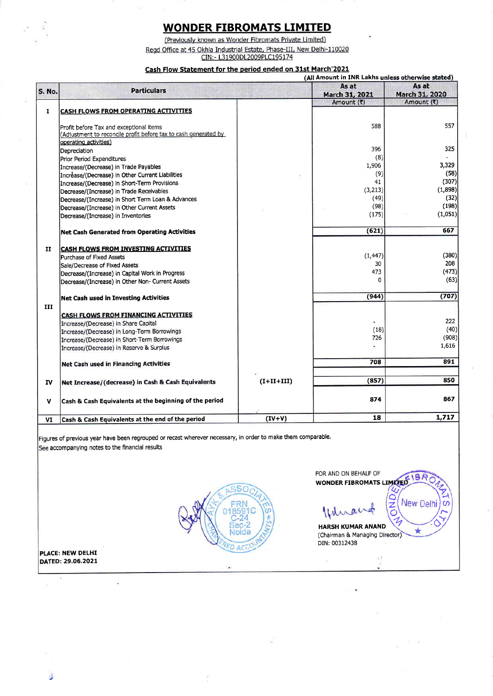# **WONDER FIBROMATS LIMITED**

(Previously known as Wonder Fibromats Private Limited) Regd Office at 45 Okhla Industrial Estate, Phase-III, New Delhi-110020<br>CIN:- L31900DL2009PLC195174

#### Cash Flow Statement for the period ended on 31st March'2021

|               |                                                                                                                                     | (All Amount in INR Lakhs unless otherwise stated) |                          |                         |  |
|---------------|-------------------------------------------------------------------------------------------------------------------------------------|---------------------------------------------------|--------------------------|-------------------------|--|
| <b>S. No.</b> | <b>Particulars</b>                                                                                                                  |                                                   | As at<br>March 31, 2021  | As at<br>March 31, 2020 |  |
| 1             | <b>CASH FLOWS FROM OPERATING ACTIVITIES</b>                                                                                         |                                                   | Amount (₹)               | Amount (₹)              |  |
|               | Profit before Tax and exceptional items<br>(Adjustment to reconcile profit before tax to cash generated by<br>operating activities) |                                                   | 588                      | 557                     |  |
|               | Depreciation                                                                                                                        |                                                   | 396                      | 325                     |  |
|               | Prior Period Expenditures                                                                                                           |                                                   | (8)                      |                         |  |
|               | Increase/(Decrease) in Trade Payables                                                                                               |                                                   | 1,906                    | 3,329                   |  |
|               | Increase/(Decrease) in Other Current Liabilities                                                                                    |                                                   | (9)                      | (58)                    |  |
|               | Increase/(Decrease) in Short-Term Provisions                                                                                        |                                                   | 41                       | (307)                   |  |
|               | Decrease/(Increase) in Trade Receivables                                                                                            |                                                   | (3,213)                  | (1,898)                 |  |
|               | Decrease/(Increase) in Short Term Loan & Advances                                                                                   |                                                   | (49)                     | (32)                    |  |
|               | Decrease/(Increase) in Other Current Assets                                                                                         |                                                   | (98)                     | (198)                   |  |
|               | Decrease/(Increase) in Inventorles                                                                                                  |                                                   | (175)                    | (1,051)                 |  |
|               | <b>Net Cash Generated from Operating Activities</b>                                                                                 |                                                   | (621)                    | 667                     |  |
| H             | <b>CASH FLOWS FROM INVESTING ACTIVITIES</b>                                                                                         |                                                   |                          |                         |  |
|               | Purchase of Fixed Assets                                                                                                            |                                                   | (1, 447)                 | (380)                   |  |
|               | Sale/Decrease of Fixed Assets                                                                                                       |                                                   | 30                       | 208                     |  |
|               | Decrease/(Increase) in Capital Work in Progress                                                                                     |                                                   | 473                      | (473)                   |  |
|               | Decrease/(Increase) in Other Non- Current Assets                                                                                    |                                                   | <sub>0</sub>             | (63)                    |  |
|               | <b>Net Cash used in Investing Activities</b>                                                                                        |                                                   | (944)                    | (707)                   |  |
| III           |                                                                                                                                     |                                                   |                          |                         |  |
|               | CASH FLOWS FROM FINANCING ACTIVITIES                                                                                                |                                                   |                          | 222                     |  |
|               | Increase/(Decrease) in Share Capital                                                                                                |                                                   |                          | (40)                    |  |
|               | Increase/(Decrease) in Long-Term Borrowings                                                                                         |                                                   | (18)<br>726              | (908)                   |  |
|               | Increase/(Decrease) in Short-Term Borrowings                                                                                        |                                                   | $\overline{\phantom{a}}$ | 1,616                   |  |
|               | Increase/(Decrease) in Reserve & Surplus                                                                                            |                                                   |                          |                         |  |
|               | Net Cash used in Financing Activities                                                                                               |                                                   | 708                      | 891                     |  |
| IV            | Net Increase/(decrease) in Cash & Cash Equivalents                                                                                  | $(I+II+III)$                                      | (857)                    | 850                     |  |
|               |                                                                                                                                     |                                                   |                          |                         |  |
| v             | Cash & Cash Equivalents at the beginning of the period                                                                              |                                                   | 874                      | 867                     |  |
| VI            | Cash & Cash Equivalents at the end of the period                                                                                    | $(IV+V)$                                          | 18                       | 1,717                   |  |

Figures of previous year have been regrouped or recast wherever necessary, in order to make them comparable. See accompanying notes to the financial results



FOR AND ON BEHALF OF WONDER FIBROMATS LIMITED

Ithran

i.

**HARSH KUMAR ANAND** (Chairman & Managing Director) DIN: 00312438

 $\frac{1}{2}$ 

 $\overline{\mathsf{C}}$ 

**New Delhi** 

PLACE: NEW DELHI DATED: 29.06.2021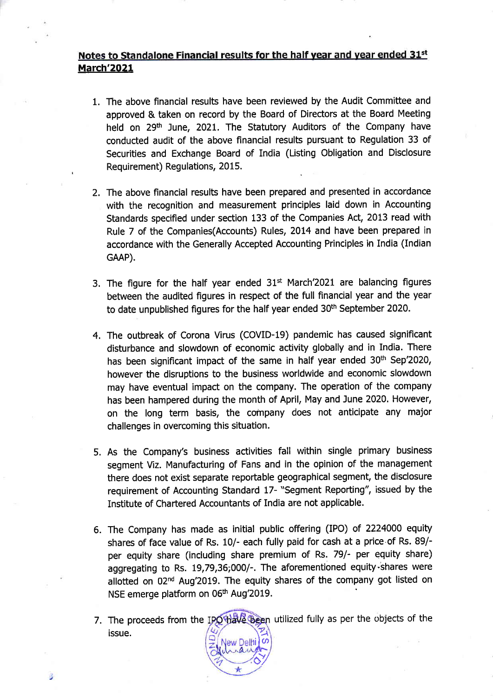# Notes to Standalone Financial results for the half year and year ended 31st March'2021

- 1. The above financial results have been reviewed by the Audit Committee and approved & taken on record by the Board of Directors at the Board Meeting held on 29<sup>th</sup> June, 2021. The Statutory Auditors of the Company have conducted audit of the above flnancial results pursuant to Regulation 33 of Securities and Exchange Board of India (Listing Obligation and Disclosure Requirement) Regulations, 2015
- 2. The above financial results have been prepared and presented in accordance with the recognition and measurement principles laid down in Accounting Standards specified under section 133 of the Companies Act, 2013 read with Rule 7 of the Companies(Accounts) Rules, 2014 and have been prepared in accordance with the Generally Accepted Accounting Principles in India (Indian GAAP).
- 3. The figure for the half year ended  $31<sup>st</sup>$  March'2021 are balancing figures between the audited figures in respect of the full financial year and the year to date unpublished figures for the half year ended 30<sup>th</sup> September 2020.
- 4. The outbreak of Corona Virus (COVID-19) pandemic has caused significant disturbance and slowdown of economic activity globally and in India. There has been significant impact of the same in half year ended 30<sup>th</sup> Sep'2020, however the disruptions to the business worldwide and economic slowdown may have eventual impact on the company. The operation of the company has been hampered during the month of April, May and June 2020. However, on the long term basis, the company does not anticipate any major challenges in overcoming this situation.
- 5. As the Company's business activities fall within single primary business segment Viz. Manufacturing of Fans and in the opinion of the management there does not exist separate repoftable geographical segment, the disclosure requirement of Accounting Standard t7- "Segment Reporting", issued by the Institute of Chartered Accountants of India are not applicable.
- 6. The Company has made as initial public offering (IPO) of 2224000 equity shares of face value of Rs. 10/- each fully paid for cash at a price of Rs. 89/ per equity share (including share premium of Rs. 79/- per equity share) aggregating to Rs. 19,79,36;000/-. The aforementioned equity-shares were allotted on 02<sup>nd</sup> Aug'2019. The equity shares of the company got listed on NSE emerge platform on 06<sup>th</sup> Aug'2019.
- 7. The proceeds from the IPO have been utilized fully as per the objects of the issue.  $\frac{1}{2}$

'o"/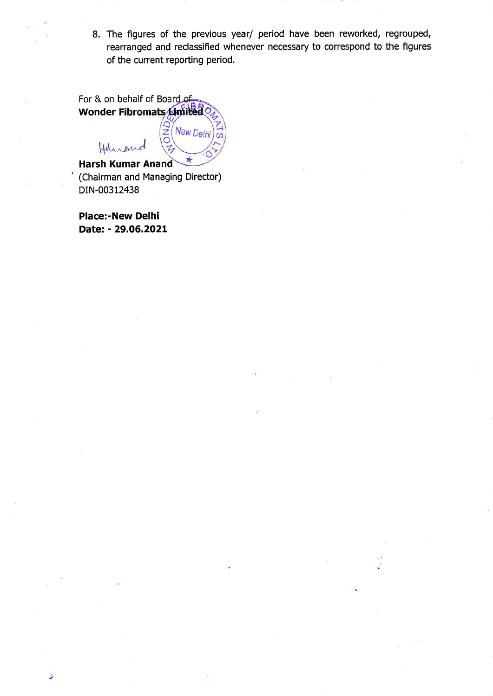8. The figures of the previous year/ period have been reworked, regrouped, rearranged and reclassified whenever necessary to correspond to the figures of the current reporting period.

| For & on behalf of Board of      |           |  |  |  |
|----------------------------------|-----------|--|--|--|
| $B_{O}$<br>Wonder Fibromats      |           |  |  |  |
| Hunand                           | New Delhi |  |  |  |
| <b>Harsh Kumar Anand</b>         |           |  |  |  |
| (Chairman and Managing Director) |           |  |  |  |

DIN-00312438 Place:-New Delhi

Date: - 29.O6.2O2L

 $\mathbb{R}$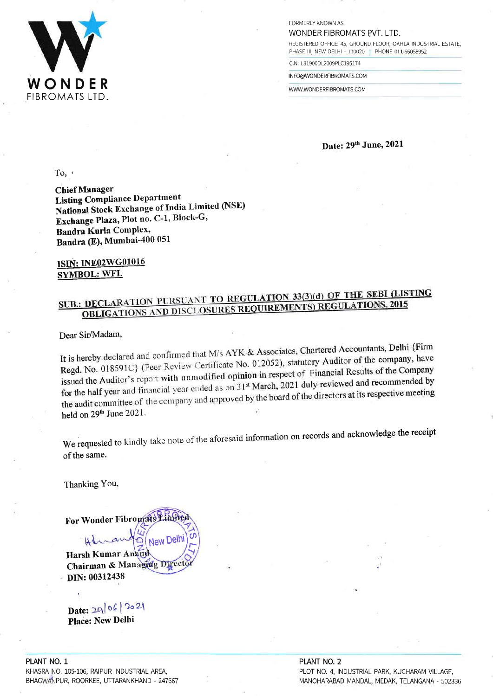

FORMERLY KNOWN AS WONDER FIBROMATS PVT. LTD.

REGISTERED OFFICE: 45, GROUND FLOOR, OKHLA INDUSTRIAL ESTATE, PHASE III, NEW DELHI - 110020 PHONE 011-66058952

CIN: L31900DL2009PLC195174

INFO@WONDERFIBROMATS.COM

WWW.WONDERFIBROMATS.COM

Date: 29th June, 2021

To,  $\cdot$ 

**Chief Manager Listing Compliance Department** National Stock Exchange of India Limited (NSE) Exchange Plaza, Plot no. C-1, Block-G, **Bandra Kurla Complex,** Bandra (E), Mumbai-400 051

ISIN: INE02WG01016 **SYMBOL: WFL** 

# SUB.: DECLARATION PURSUANT TO REGULATION 33(3)(d) OF THE SEBI (LISTING **OBLIGATIONS AND DISCLOSURES REQUIREMENTS) REGULATIONS, 2015**

Dear Sir/Madam,

It is hereby declared and confirmed that M/s AYK & Associates, Chartered Accountants, Delhi {Firm Regd. No. 018591C} (Peer Review Certificate No. 012052), statutory Auditor of the company, have issued the Auditor's report with unmodified opinion in respect of Financial Results of the Company for the half year and financial year ended as on 31st March, 2021 duly reviewed and recommended by the audit committee of the company and approved by the board of the directors at its respective meeting held on 29<sup>th</sup> June 2021.

We requested to kindly take note of the aforesaid information on records and acknowledge the receipt of the same.

Thanking You,

For Wonder Fibromats Limite New Delhi ∩

Harsh Kumar Anang Chairman & Managrag Direct DIN: 00312438

Date: 29/06/2021

Place: New Delhi